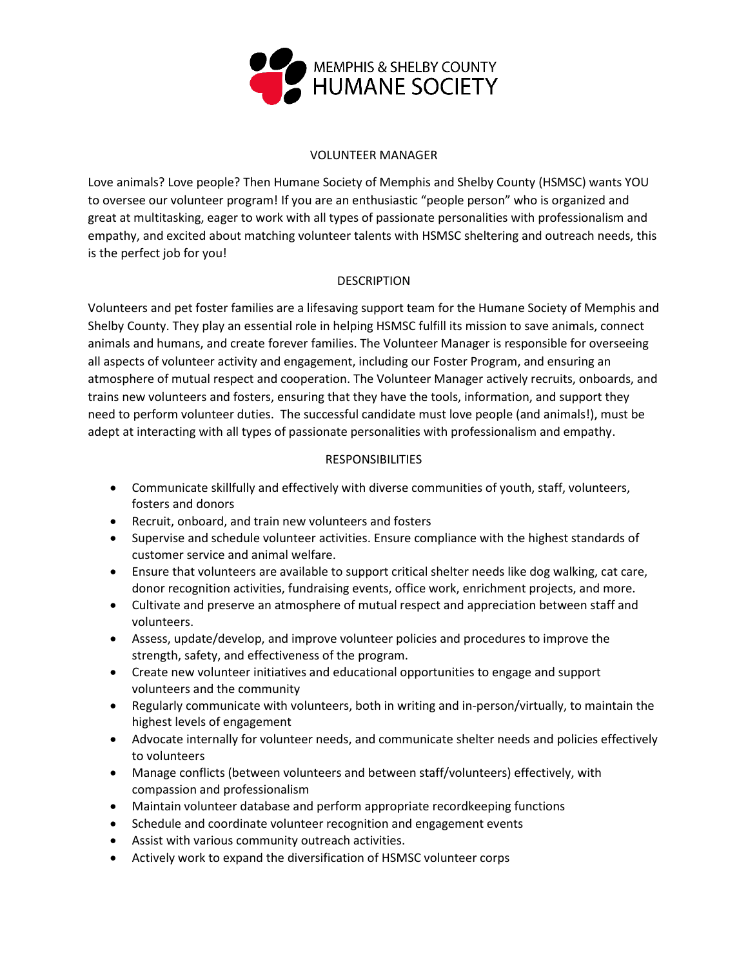

### VOLUNTEER MANAGER

Love animals? Love people? Then Humane Society of Memphis and Shelby County (HSMSC) wants YOU to oversee our volunteer program! If you are an enthusiastic "people person" who is organized and great at multitasking, eager to work with all types of passionate personalities with professionalism and empathy, and excited about matching volunteer talents with HSMSC sheltering and outreach needs, this is the perfect job for you!

### **DESCRIPTION**

Volunteers and pet foster families are a lifesaving support team for the Humane Society of Memphis and Shelby County. They play an essential role in helping HSMSC fulfill its mission to save animals, connect animals and humans, and create forever families. The Volunteer Manager is responsible for overseeing all aspects of volunteer activity and engagement, including our Foster Program, and ensuring an atmosphere of mutual respect and cooperation. The Volunteer Manager actively recruits, onboards, and trains new volunteers and fosters, ensuring that they have the tools, information, and support they need to perform volunteer duties. The successful candidate must love people (and animals!), must be adept at interacting with all types of passionate personalities with professionalism and empathy.

# RESPONSIBILITIES

- Communicate skillfully and effectively with diverse communities of youth, staff, volunteers, fosters and donors
- Recruit, onboard, and train new volunteers and fosters
- Supervise and schedule volunteer activities. Ensure compliance with the highest standards of customer service and animal welfare.
- Ensure that volunteers are available to support critical shelter needs like dog walking, cat care, donor recognition activities, fundraising events, office work, enrichment projects, and more.
- Cultivate and preserve an atmosphere of mutual respect and appreciation between staff and volunteers.
- Assess, update/develop, and improve volunteer policies and procedures to improve the strength, safety, and effectiveness of the program.
- Create new volunteer initiatives and educational opportunities to engage and support volunteers and the community
- Regularly communicate with volunteers, both in writing and in-person/virtually, to maintain the highest levels of engagement
- Advocate internally for volunteer needs, and communicate shelter needs and policies effectively to volunteers
- Manage conflicts (between volunteers and between staff/volunteers) effectively, with compassion and professionalism
- Maintain volunteer database and perform appropriate recordkeeping functions
- Schedule and coordinate volunteer recognition and engagement events
- Assist with various community outreach activities.
- Actively work to expand the diversification of HSMSC volunteer corps